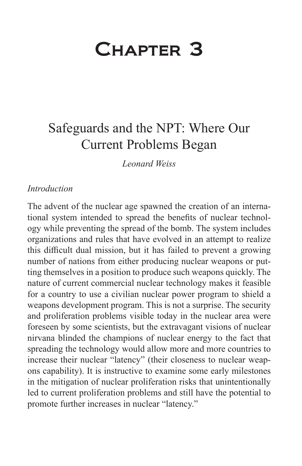# Chapter 3

# Safeguards and the NPT: Where Our Current Problems Began

*Leonard Weiss*

#### *Introduction*

The advent of the nuclear age spawned the creation of an international system intended to spread the benefits of nuclear technology while preventing the spread of the bomb. The system includes organizations and rules that have evolved in an attempt to realize this difficult dual mission, but it has failed to prevent a growing number of nations from either producing nuclear weapons or putting themselves in a position to produce such weapons quickly. The nature of current commercial nuclear technology makes it feasible for a country to use a civilian nuclear power program to shield a weapons development program. This is not a surprise. The security and proliferation problems visible today in the nuclear area were foreseen by some scientists, but the extravagant visions of nuclear nirvana blinded the champions of nuclear energy to the fact that spreading the technology would allow more and more countries to increase their nuclear "latency" (their closeness to nuclear weapons capability). It is instructive to examine some early milestones in the mitigation of nuclear proliferation risks that unintentionally led to current proliferation problems and still have the potential to promote further increases in nuclear "latency."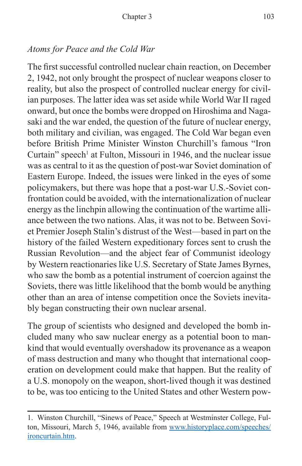#### *Atoms for Peace and the Cold War*

The first successful controlled nuclear chain reaction, on December 2, 1942, not only brought the prospect of nuclear weapons closer to reality, but also the prospect of controlled nuclear energy for civilian purposes. The latter idea was set aside while World War II raged onward, but once the bombs were dropped on Hiroshima and Nagasaki and the war ended, the question of the future of nuclear energy, both military and civilian, was engaged. The Cold War began even before British Prime Minister Winston Churchill's famous "Iron Curtain" speech<sup>1</sup> at Fulton, Missouri in 1946, and the nuclear issue was as central to it as the question of post-war Soviet domination of Eastern Europe. Indeed, the issues were linked in the eyes of some policymakers, but there was hope that a post-war U.S.-Soviet confrontation could be avoided, with the internationalization of nuclear energy as the linchpin allowing the continuation of the wartime alliance between the two nations. Alas, it was not to be. Between Soviet Premier Joseph Stalin's distrust of the West—based in part on the history of the failed Western expeditionary forces sent to crush the Russian Revolution—and the abject fear of Communist ideology by Western reactionaries like U.S. Secretary of State James Byrnes, who saw the bomb as a potential instrument of coercion against the Soviets, there was little likelihood that the bomb would be anything other than an area of intense competition once the Soviets inevitably began constructing their own nuclear arsenal.

The group of scientists who designed and developed the bomb included many who saw nuclear energy as a potential boon to mankind that would eventually overshadow its provenance as a weapon of mass destruction and many who thought that international cooperation on development could make that happen. But the reality of a U.S. monopoly on the weapon, short-lived though it was destined to be, was too enticing to the United States and other Western pow-

<sup>1.</sup> Winston Churchill, "Sinews of Peace," Speech at Westminster College, Fulton, Missouri, March 5, 1946, available from [www.historyplace.com/speeches/](www.historyplace.com/speeches/ironcurtain.htm) [ironcurtain.htm.](www.historyplace.com/speeches/ironcurtain.htm)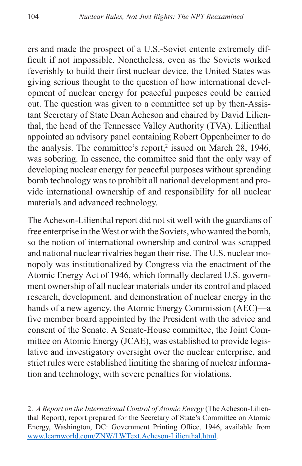ers and made the prospect of a U.S.-Soviet entente extremely difficult if not impossible. Nonetheless, even as the Soviets worked feverishly to build their first nuclear device, the United States was giving serious thought to the question of how international development of nuclear energy for peaceful purposes could be carried out. The question was given to a committee set up by then-Assistant Secretary of State Dean Acheson and chaired by David Lilienthal, the head of the Tennessee Valley Authority (TVA). Lilienthal appointed an advisory panel containing Robert Oppenheimer to do the analysis. The committee's report,<sup>2</sup> issued on March  $28$ , 1946, was sobering. In essence, the committee said that the only way of developing nuclear energy for peaceful purposes without spreading bomb technology was to prohibit all national development and provide international ownership of and responsibility for all nuclear materials and advanced technology.

The Acheson-Lilienthal report did not sit well with the guardians of free enterprise in the West or with the Soviets, who wanted the bomb, so the notion of international ownership and control was scrapped and national nuclear rivalries began their rise. The U.S. nuclear monopoly was institutionalized by Congress via the enactment of the Atomic Energy Act of 1946, which formally declared U.S. government ownership of all nuclear materials under its control and placed research, development, and demonstration of nuclear energy in the hands of a new agency, the Atomic Energy Commission (AEC)—a five member board appointed by the President with the advice and consent of the Senate. A Senate-House committee, the Joint Committee on Atomic Energy (JCAE), was established to provide legislative and investigatory oversight over the nuclear enterprise, and strict rules were established limiting the sharing of nuclear information and technology, with severe penalties for violations.

<sup>2.</sup> *A Report on the International Control of Atomic Energy* (The Acheson-Lilienthal Report), report prepared for the Secretary of State's Committee on Atomic Energy, Washington, DC: Government Printing Office, 1946, available from [www.learnworld.com/ZNW/LWText.Acheson-Lilienthal.html.](www.learnworld.com/ZNW/LWText.Acheson-Lilienthal.html)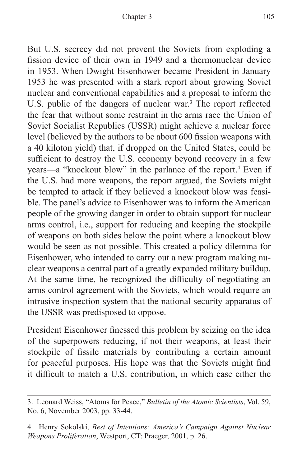But U.S. secrecy did not prevent the Soviets from exploding a fission device of their own in 1949 and a thermonuclear device in 1953. When Dwight Eisenhower became President in January 1953 he was presented with a stark report about growing Soviet nuclear and conventional capabilities and a proposal to inform the U.S. public of the dangers of nuclear war.<sup>3</sup> The report reflected the fear that without some restraint in the arms race the Union of Soviet Socialist Republics (USSR) might achieve a nuclear force level (believed by the authors to be about 600 fission weapons with a 40 kiloton yield) that, if dropped on the United States, could be sufficient to destroy the U.S. economy beyond recovery in a few years—a "knockout blow" in the parlance of the report.<sup>4</sup> Even if the U.S. had more weapons, the report argued, the Soviets might be tempted to attack if they believed a knockout blow was feasible. The panel's advice to Eisenhower was to inform the American people of the growing danger in order to obtain support for nuclear arms control, i.e., support for reducing and keeping the stockpile of weapons on both sides below the point where a knockout blow would be seen as not possible. This created a policy dilemma for Eisenhower, who intended to carry out a new program making nuclear weapons a central part of a greatly expanded military buildup. At the same time, he recognized the difficulty of negotiating an arms control agreement with the Soviets, which would require an intrusive inspection system that the national security apparatus of the USSR was predisposed to oppose.

President Eisenhower finessed this problem by seizing on the idea of the superpowers reducing, if not their weapons, at least their stockpile of fissile materials by contributing a certain amount for peaceful purposes. His hope was that the Soviets might find it difficult to match a U.S. contribution, in which case either the

<sup>3.</sup> Leonard Weiss, "Atoms for Peace," *Bulletin of the Atomic Scientists*, Vol. 59, No. 6, November 2003, pp. 33-44.

<sup>4.</sup> Henry Sokolski, *Best of Intentions: America's Campaign Against Nuclear Weapons Proliferation*, Westport, CT: Praeger, 2001, p. 26.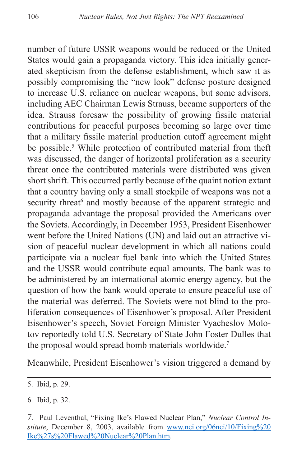number of future USSR weapons would be reduced or the United States would gain a propaganda victory. This idea initially generated skepticism from the defense establishment, which saw it as possibly compromising the "new look" defense posture designed to increase U.S. reliance on nuclear weapons, but some advisors, including AEC Chairman Lewis Strauss, became supporters of the idea. Strauss foresaw the possibility of growing fissile material contributions for peaceful purposes becoming so large over time that a military fissile material production cutoff agreement might be possible.<sup>5</sup> While protection of contributed material from theft was discussed, the danger of horizontal proliferation as a security threat once the contributed materials were distributed was given short shrift. This occurred partly because of the quaint notion extant that a country having only a small stockpile of weapons was not a security threat<sup>6</sup> and mostly because of the apparent strategic and propaganda advantage the proposal provided the Americans over the Soviets. Accordingly, in December 1953, President Eisenhower went before the United Nations (UN) and laid out an attractive vision of peaceful nuclear development in which all nations could participate via a nuclear fuel bank into which the United States and the USSR would contribute equal amounts. The bank was to be administered by an international atomic energy agency, but the question of how the bank would operate to ensure peaceful use of the material was deferred. The Soviets were not blind to the proliferation consequences of Eisenhower's proposal. After President Eisenhower's speech, Soviet Foreign Minister Vyacheslov Molotov reportedly told U.S. Secretary of State John Foster Dulles that the proposal would spread bomb materials worldwide.<sup>7</sup>

Meanwhile, President Eisenhower's vision triggered a demand by

<sup>5.</sup> Ibid, p. 29.

<sup>6.</sup> Ibid, p. 32.

<sup>7</sup>. Paul Leventhal, "Fixing Ike's Flawed Nuclear Plan," *Nuclear Control In*stitute, December 8, 2003, available from [www.nci.org/06nci/10/Fixing%20](www.nci.org/06nci/10/Fixing%20Ike%27s%20Flawed%20Nuclear%20Plan.htm) [Ike%27s%20Flawed%20Nuclear%20Plan.htm.](www.nci.org/06nci/10/Fixing%20Ike%27s%20Flawed%20Nuclear%20Plan.htm)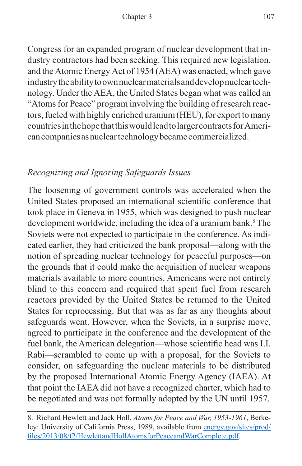Congress for an expanded program of nuclear development that industry contractors had been seeking. This required new legislation, and the Atomic Energy Act of 1954 (AEA) was enacted, which gave industry the ability to own nuclear materials and develop nuclear technology. Under the AEA, the United States began what was called an "Atoms for Peace" program involving the building of research reactors, fueled with highly enriched uranium (HEU), for export to many countries in the hope that this would lead to larger contracts for American companies as nuclear technology became commercialized.

## *Recognizing and Ignoring Safeguards Issues*

The loosening of government controls was accelerated when the United States proposed an international scientific conference that took place in Geneva in 1955, which was designed to push nuclear development worldwide, including the idea of a uranium bank.<sup>8</sup> The Soviets were not expected to participate in the conference. As indicated earlier, they had criticized the bank proposal—along with the notion of spreading nuclear technology for peaceful purposes—on the grounds that it could make the acquisition of nuclear weapons materials available to more countries. Americans were not entirely blind to this concern and required that spent fuel from research reactors provided by the United States be returned to the United States for reprocessing. But that was as far as any thoughts about safeguards went. However, when the Soviets, in a surprise move, agreed to participate in the conference and the development of the fuel bank, the American delegation—whose scientific head was I.I. Rabi—scrambled to come up with a proposal, for the Soviets to consider, on safeguarding the nuclear materials to be distributed by the proposed International Atomic Energy Agency (IAEA). At that point the IAEA did not have a recognized charter, which had to be negotiated and was not formally adopted by the UN until 1957.

<sup>8.</sup> Richard Hewlett and Jack Holl, *Atoms for Peace and War, 1953-1961*, Berkeley: University of California Press, 1989, available from [energy.gov/sites/prod/](https://energy.gov/sites/prod/files/2013/08/f2/HewlettandHollAtomsforPeaceandWarComplete.pdf) [files/2013/08/f2/HewlettandHollAtomsforPeaceandWarComplete.pdf](https://energy.gov/sites/prod/files/2013/08/f2/HewlettandHollAtomsforPeaceandWarComplete.pdf).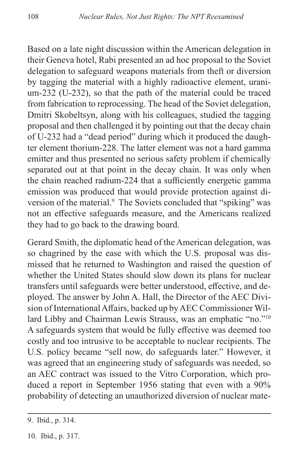Based on a late night discussion within the American delegation in their Geneva hotel, Rabi presented an ad hoc proposal to the Soviet delegation to safeguard weapons materials from theft or diversion by tagging the material with a highly radioactive element, uranium-232 (U-232), so that the path of the material could be traced from fabrication to reprocessing. The head of the Soviet delegation, Dmitri Skobeltsyn, along with his colleagues, studied the tagging proposal and then challenged it by pointing out that the decay chain of U-232 had a "dead period" during which it produced the daughter element thorium-228. The latter element was not a hard gamma emitter and thus presented no serious safety problem if chemically separated out at that point in the decay chain. It was only when the chain reached radium-224 that a sufficiently energetic gamma emission was produced that would provide protection against diversion of the material.<sup>9</sup> The Soviets concluded that "spiking" was not an effective safeguards measure, and the Americans realized they had to go back to the drawing board.

Gerard Smith, the diplomatic head of the American delegation, was so chagrined by the ease with which the U.S. proposal was dismissed that he returned to Washington and raised the question of whether the United States should slow down its plans for nuclear transfers until safeguards were better understood, effective, and deployed. The answer by John A. Hall, the Director of the AEC Division of International Affairs, backed up by AEC Commissioner Willard Libby and Chairman Lewis Strauss, was an emphatic "no."10 A safeguards system that would be fully effective was deemed too costly and too intrusive to be acceptable to nuclear recipients. The U.S. policy became "sell now, do safeguards later." However, it was agreed that an engineering study of safeguards was needed, so an AEC contract was issued to the Vitro Corporation, which produced a report in September 1956 stating that even with a 90% probability of detecting an unauthorized diversion of nuclear mate-

<sup>9.</sup> Ibid., p. 314.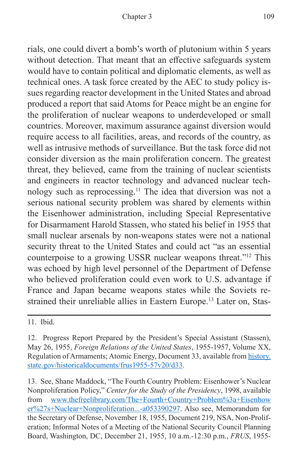rials, one could divert a bomb's worth of plutonium within 5 years without detection. That meant that an effective safeguards system would have to contain political and diplomatic elements, as well as technical ones. A task force created by the AEC to study policy issues regarding reactor development in the United States and abroad produced a report that said Atoms for Peace might be an engine for the proliferation of nuclear weapons to underdeveloped or small countries. Moreover, maximum assurance against diversion would require access to all facilities, areas, and records of the country, as well as intrusive methods of surveillance. But the task force did not consider diversion as the main proliferation concern. The greatest threat, they believed, came from the training of nuclear scientists and engineers in reactor technology and advanced nuclear technology such as reprocessing.11 The idea that diversion was not a serious national security problem was shared by elements within the Eisenhower administration, including Special Representative for Disarmament Harold Stassen, who stated his belief in 1955 that small nuclear arsenals by non-weapons states were not a national security threat to the United States and could act "as an essential counterpoise to a growing USSR nuclear weapons threat."12 This was echoed by high level personnel of the Department of Defense who believed proliferation could even work to U.S. advantage if France and Japan became weapons states while the Soviets restrained their unreliable allies in Eastern Europe.<sup>13</sup> Later on, Stas-

11. Ibid.

13. See, Shane Maddock, "The Fourth Country Problem: Eisenhower's Nuclear Nonproliferation Policy," *Center for the Study of the Presidency*, 1998, available from [www.thefreelibrary.com/The+Fourth+Country+Problem%3a+Eisenhow](www.thefreelibrary.com/The+Fourth+Country+Problem%3a+Eisenhower%27s+Nuclear+Nonproliferation...-a053390297) [er%27s+Nuclear+Nonproliferation...-a053390297](www.thefreelibrary.com/The+Fourth+Country+Problem%3a+Eisenhower%27s+Nuclear+Nonproliferation...-a053390297). Also see, Memorandum for the Secretary of Defense, November 18, 1955, Document 219, NSA, Non-Proliferation; Informal Notes of a Meeting of the National Security Council Planning Board, Washington, DC, December 21, 1955, 10 a.m.-12:30 p.m., *FRUS*, 1955-

<sup>12.</sup> Progress Report Prepared by the President's Special Assistant (Stassen), May 26, 1955, *Foreign Relations of the United States*, 1955-1957, Volume XX, Regulation of Armaments; Atomic Energy, Document 33, available from [history.](history.state.gov/historicaldocuments/frus1955-57v20/d33) [state.gov/historicaldocuments/frus1955-57v20/d33.](history.state.gov/historicaldocuments/frus1955-57v20/d33)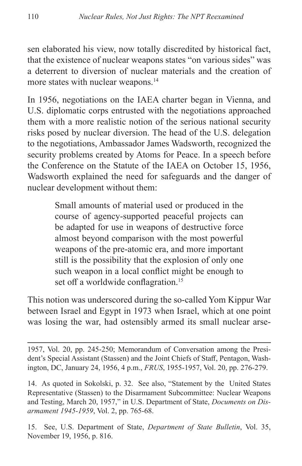sen elaborated his view, now totally discredited by historical fact, that the existence of nuclear weapons states "on various sides" was a deterrent to diversion of nuclear materials and the creation of more states with nuclear weapons.<sup>14</sup>

In 1956, negotiations on the IAEA charter began in Vienna, and U.S. diplomatic corps entrusted with the negotiations approached them with a more realistic notion of the serious national security risks posed by nuclear diversion. The head of the U.S. delegation to the negotiations, Ambassador James Wadsworth, recognized the security problems created by Atoms for Peace. In a speech before the Conference on the Statute of the IAEA on October 15, 1956, Wadsworth explained the need for safeguards and the danger of nuclear development without them:

> Small amounts of material used or produced in the course of agency-supported peaceful projects can be adapted for use in weapons of destructive force almost beyond comparison with the most powerful weapons of the pre-atomic era, and more important still is the possibility that the explosion of only one such weapon in a local conflict might be enough to set off a worldwide conflagration.<sup>15</sup>

This notion was underscored during the so-called Yom Kippur War between Israel and Egypt in 1973 when Israel, which at one point was losing the war, had ostensibly armed its small nuclear arse-

1957, Vol. 20, pp. 245-250; Memorandum of Conversation among the President's Special Assistant (Stassen) and the Joint Chiefs of Staff, Pentagon, Washington, DC, January 24, 1956, 4 p.m., *FRUS*, 1955-1957, Vol. 20, pp. 276-279.

14. As quoted in Sokolski, p. 32. See also, "Statement by the United States Representative (Stassen) to the Disarmament Subcommittee: Nuclear Weapons and Testing, March 20, 1957," in U.S. Department of State, *Documents on Disarmament 1945-1959*, Vol. 2, pp. 765-68.

15. See, U.S. Department of State, *Department of State Bulletin*, Vol. 35, November 19, 1956, p. 816.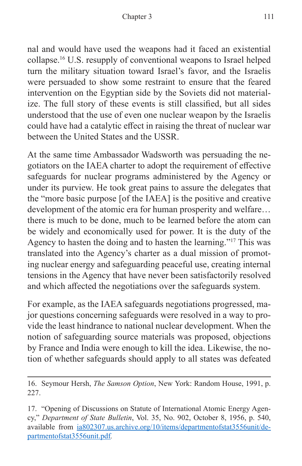nal and would have used the weapons had it faced an existential collapse.16 U.S. resupply of conventional weapons to Israel helped turn the military situation toward Israel's favor, and the Israelis were persuaded to show some restraint to ensure that the feared intervention on the Egyptian side by the Soviets did not materialize. The full story of these events is still classified, but all sides understood that the use of even one nuclear weapon by the Israelis could have had a catalytic effect in raising the threat of nuclear war between the United States and the USSR.

At the same time Ambassador Wadsworth was persuading the negotiators on the IAEA charter to adopt the requirement of effective safeguards for nuclear programs administered by the Agency or under its purview. He took great pains to assure the delegates that the "more basic purpose [of the IAEA] is the positive and creative development of the atomic era for human prosperity and welfare… there is much to be done, much to be learned before the atom can be widely and economically used for power. It is the duty of the Agency to hasten the doing and to hasten the learning."17 This was translated into the Agency's charter as a dual mission of promoting nuclear energy and safeguarding peaceful use, creating internal tensions in the Agency that have never been satisfactorily resolved and which affected the negotiations over the safeguards system.

For example, as the IAEA safeguards negotiations progressed, major questions concerning safeguards were resolved in a way to provide the least hindrance to national nuclear development. When the notion of safeguarding source materials was proposed, objections by France and India were enough to kill the idea. Likewise, the notion of whether safeguards should apply to all states was defeated

<sup>16.</sup> Seymour Hersh, *The Samson Option*, New York: Random House, 1991, p. 227.

<sup>17. &</sup>quot;Opening of Discussions on Statute of International Atomic Energy Agency," *Department of State Bulletin*, Vol. 35, No. 902, October 8, 1956, p. 540, available from [ia802307.us.archive.org/10/items/departmentofstat3556unit/de](ia802307.us.archive.org/10/items/departmentofstat3556unit/departmentofstat3556unit.pdf)[partmentofstat3556unit.pdf](ia802307.us.archive.org/10/items/departmentofstat3556unit/departmentofstat3556unit.pdf)*.*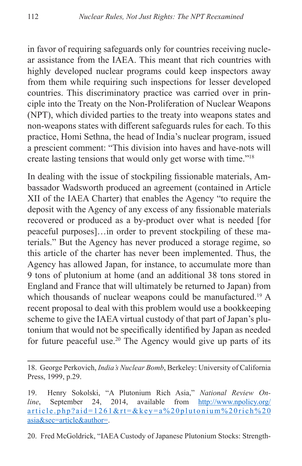in favor of requiring safeguards only for countries receiving nuclear assistance from the IAEA. This meant that rich countries with highly developed nuclear programs could keep inspectors away from them while requiring such inspections for lesser developed countries. This discriminatory practice was carried over in principle into the Treaty on the Non-Proliferation of Nuclear Weapons (NPT), which divided parties to the treaty into weapons states and non-weapons states with different safeguards rules for each. To this practice, Homi Sethna, the head of India's nuclear program, issued a prescient comment: "This division into haves and have-nots will create lasting tensions that would only get worse with time."18

In dealing with the issue of stockpiling fissionable materials, Ambassador Wadsworth produced an agreement (contained in Article XII of the IAEA Charter) that enables the Agency "to require the deposit with the Agency of any excess of any fissionable materials recovered or produced as a by-product over what is needed [for peaceful purposes]…in order to prevent stockpiling of these materials." But the Agency has never produced a storage regime, so this article of the charter has never been implemented. Thus, the Agency has allowed Japan, for instance, to accumulate more than 9 tons of plutonium at home (and an additional 38 tons stored in England and France that will ultimately be returned to Japan) from which thousands of nuclear weapons could be manufactured.<sup>19</sup> A recent proposal to deal with this problem would use a bookkeeping scheme to give the IAEA virtual custody of that part of Japan's plutonium that would not be specifically identified by Japan as needed for future peaceful use.<sup>20</sup> The Agency would give up parts of its

20. Fred McGoldrick, "IAEA Custody of Japanese Plutonium Stocks: Strength-

<sup>18.</sup> George Perkovich, *India's Nuclear Bomb*, Berkeley: University of California Press, 1999, p.29.

<sup>19.</sup> Henry Sokolski, "A Plutonium Rich Asia," *National Review Online*, September 24, 2014, available from [http://www.npolicy.org/](http://www.npolicy.org/article.php?aid=1261&rt=&key=a%20plutonium%20rich%20asia&sec=article&author=) [article.php?aid=1261&rt=&key=a%20plutonium%20rich%20](http://www.npolicy.org/article.php?aid=1261&rt=&key=a%20plutonium%20rich%20asia&sec=article&author=) [asia&sec=article&author=.](http://www.npolicy.org/article.php?aid=1261&rt=&key=a%20plutonium%20rich%20asia&sec=article&author=)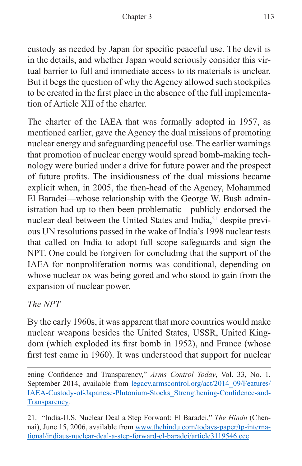custody as needed by Japan for specific peaceful use. The devil is in the details, and whether Japan would seriously consider this virtual barrier to full and immediate access to its materials is unclear. But it begs the question of why the Agency allowed such stockpiles to be created in the first place in the absence of the full implementation of Article XII of the charter.

The charter of the IAEA that was formally adopted in 1957, as mentioned earlier, gave the Agency the dual missions of promoting nuclear energy and safeguarding peaceful use. The earlier warnings that promotion of nuclear energy would spread bomb-making technology were buried under a drive for future power and the prospect of future profits. The insidiousness of the dual missions became explicit when, in 2005, the then-head of the Agency, Mohammed El Baradei—whose relationship with the George W. Bush administration had up to then been problematic—publicly endorsed the nuclear deal between the United States and India,<sup>21</sup> despite previous UN resolutions passed in the wake of India's 1998 nuclear tests that called on India to adopt full scope safeguards and sign the NPT. One could be forgiven for concluding that the support of the IAEA for nonproliferation norms was conditional, depending on whose nuclear ox was being gored and who stood to gain from the expansion of nuclear power.

#### *The NPT*

By the early 1960s, it was apparent that more countries would make nuclear weapons besides the United States, USSR, United Kingdom (which exploded its first bomb in 1952), and France (whose first test came in 1960). It was understood that support for nuclear

ening Confidence and Transparency," *Arms Control Today*, Vol. 33, No. 1, September 2014, available from [legacy.armscontrol.org/act/2014\\_09/Features/](legacy.armscontrol.org/act/2014_09/Features/IAEA-Custody-of-Japanese-Plutonium-Stocks_Strengthening-Confidence-and-Transparency) [IAEA-Custody-of-Japanese-Plutonium-Stocks\\_Strengthening-Confidence-and-](legacy.armscontrol.org/act/2014_09/Features/IAEA-Custody-of-Japanese-Plutonium-Stocks_Strengthening-Confidence-and-Transparency)[Transparency](legacy.armscontrol.org/act/2014_09/Features/IAEA-Custody-of-Japanese-Plutonium-Stocks_Strengthening-Confidence-and-Transparency)*.*

21. "India-U.S. Nuclear Deal a Step Forward: El Baradei," *The Hindu* (Chennai), June 15, 2006, available from [www.thehindu.com/todays-paper/tp-interna](www.thehindu.com/todays-paper/tp-international/indiaus-nuclear-deal-a-step-forward-el-baradei/article3119546.ece)[tional/indiaus-nuclear-deal-a-step-forward-el-baradei/article3119546.ece.](www.thehindu.com/todays-paper/tp-international/indiaus-nuclear-deal-a-step-forward-el-baradei/article3119546.ece)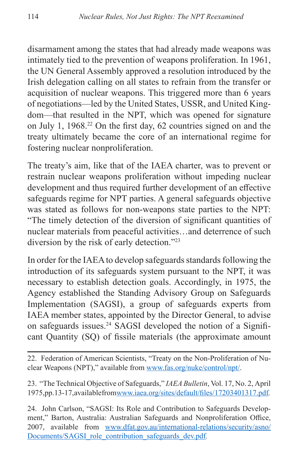disarmament among the states that had already made weapons was intimately tied to the prevention of weapons proliferation. In 1961, the UN General Assembly approved a resolution introduced by the Irish delegation calling on all states to refrain from the transfer or acquisition of nuclear weapons. This triggered more than 6 years of negotiations—led by the United States, USSR, and United Kingdom—that resulted in the NPT, which was opened for signature on July 1, 1968.22 On the first day, 62 countries signed on and the treaty ultimately became the core of an international regime for fostering nuclear nonproliferation.

The treaty's aim, like that of the IAEA charter, was to prevent or restrain nuclear weapons proliferation without impeding nuclear development and thus required further development of an effective safeguards regime for NPT parties. A general safeguards objective was stated as follows for non-weapons state parties to the NPT: "The timely detection of the diversion of significant quantities of nuclear materials from peaceful activities…and deterrence of such diversion by the risk of early detection."23

In order for the IAEA to develop safeguards standards following the introduction of its safeguards system pursuant to the NPT, it was necessary to establish detection goals. Accordingly, in 1975, the Agency established the Standing Advisory Group on Safeguards Implementation (SAGSI), a group of safeguards experts from IAEA member states, appointed by the Director General, to advise on safeguards issues.24 SAGSI developed the notion of a Significant Quantity (SQ) of fissile materials (the approximate amount

22. Federation of American Scientists, "Treaty on the Non-Proliferation of Nuclear Weapons (NPT)," available from [www.fas.org/nuke/control/npt/.](www.fas.org/nuke/control/npt/)

23. "The Technical Objective of Safeguards," *IAEA Bulletin*, Vol. 17, No. 2, April 1975, pp. 13-17, available from <www.iaea.org/sites/default/files/17203401317.pdf>*.*

24. John Carlson, "SAGSI: Its Role and Contribution to Safeguards Development," Barton, Australia: Australian Safeguards and Nonproliferation Office, 2007, available from [www.dfat.gov.au/international-relations/security/asno/](www.dfat.gov.au/international-relations/security/asno/Documents/SAGSI_role_contribution_safeguards_dev.pdf) [Documents/SAGSI\\_role\\_contribution\\_safeguards\\_dev.pdf](www.dfat.gov.au/international-relations/security/asno/Documents/SAGSI_role_contribution_safeguards_dev.pdf)*.*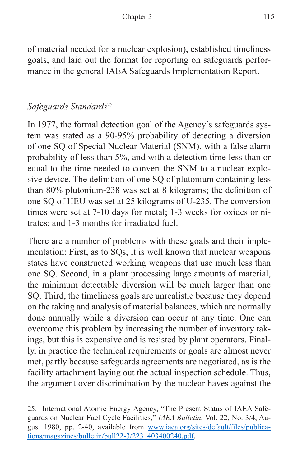of material needed for a nuclear explosion), established timeliness goals, and laid out the format for reporting on safeguards performance in the general IAEA Safeguards Implementation Report.

### *Safeguards Standards*<sup>25</sup>

In 1977, the formal detection goal of the Agency's safeguards system was stated as a 90-95% probability of detecting a diversion of one SQ of Special Nuclear Material (SNM), with a false alarm probability of less than 5%, and with a detection time less than or equal to the time needed to convert the SNM to a nuclear explosive device. The definition of one SQ of plutonium containing less than 80% plutonium-238 was set at 8 kilograms; the definition of one SQ of HEU was set at 25 kilograms of U-235. The conversion times were set at 7-10 days for metal; 1-3 weeks for oxides or nitrates; and 1-3 months for irradiated fuel.

There are a number of problems with these goals and their implementation: First, as to SQs, it is well known that nuclear weapons states have constructed working weapons that use much less than one SQ. Second, in a plant processing large amounts of material, the minimum detectable diversion will be much larger than one SQ. Third, the timeliness goals are unrealistic because they depend on the taking and analysis of material balances, which are normally done annually while a diversion can occur at any time. One can overcome this problem by increasing the number of inventory takings, but this is expensive and is resisted by plant operators. Finally, in practice the technical requirements or goals are almost never met, partly because safeguards agreements are negotiated, as is the facility attachment laying out the actual inspection schedule. Thus, the argument over discrimination by the nuclear haves against the

<sup>25.</sup> International Atomic Energy Agency, "The Present Status of IAEA Safeguards on Nuclear Fuel Cycle Facilities," *IAEA Bulletin*, Vol. 22, No. 3/4, August 1980, pp. 2-40, available from [www.iaea.org/sites/default/files/publica](www.iaea.org/sites/default/files/publications/magazines/bulletin/bull22-3/223_403400240.pdf)[tions/magazines/bulletin/bull22-3/223\\_403400240.pdf](www.iaea.org/sites/default/files/publications/magazines/bulletin/bull22-3/223_403400240.pdf).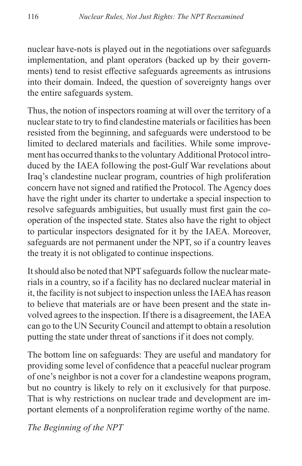nuclear have-nots is played out in the negotiations over safeguards implementation, and plant operators (backed up by their governments) tend to resist effective safeguards agreements as intrusions into their domain. Indeed, the question of sovereignty hangs over the entire safeguards system.

Thus, the notion of inspectors roaming at will over the territory of a nuclear state to try to find clandestine materials or facilities has been resisted from the beginning, and safeguards were understood to be limited to declared materials and facilities. While some improvement has occurred thanks to the voluntary Additional Protocol introduced by the IAEA following the post-Gulf War revelations about Iraq's clandestine nuclear program, countries of high proliferation concern have not signed and ratified the Protocol. The Agency does have the right under its charter to undertake a special inspection to resolve safeguards ambiguities, but usually must first gain the cooperation of the inspected state. States also have the right to object to particular inspectors designated for it by the IAEA. Moreover, safeguards are not permanent under the NPT, so if a country leaves the treaty it is not obligated to continue inspections.

It should also be noted that NPT safeguards follow the nuclear materials in a country, so if a facility has no declared nuclear material in it, the facility is not subject to inspection unless the IAEA has reason to believe that materials are or have been present and the state involved agrees to the inspection. If there is a disagreement, the IAEA can go to the UN Security Council and attempt to obtain a resolution putting the state under threat of sanctions if it does not comply.

The bottom line on safeguards: They are useful and mandatory for providing some level of confidence that a peaceful nuclear program of one's neighbor is not a cover for a clandestine weapons program, but no country is likely to rely on it exclusively for that purpose. That is why restrictions on nuclear trade and development are important elements of a nonproliferation regime worthy of the name.

*The Beginning of the NPT*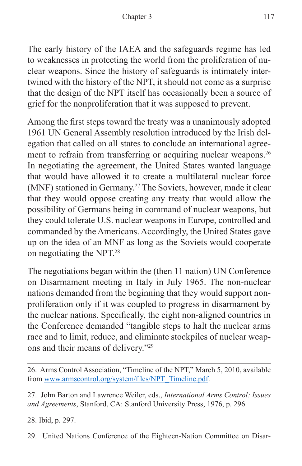The early history of the IAEA and the safeguards regime has led to weaknesses in protecting the world from the proliferation of nuclear weapons. Since the history of safeguards is intimately intertwined with the history of the NPT, it should not come as a surprise that the design of the NPT itself has occasionally been a source of grief for the nonproliferation that it was supposed to prevent.

Among the first steps toward the treaty was a unanimously adopted 1961 UN General Assembly resolution introduced by the Irish delegation that called on all states to conclude an international agreement to refrain from transferring or acquiring nuclear weapons.<sup>26</sup> In negotiating the agreement, the United States wanted language that would have allowed it to create a multilateral nuclear force (MNF) stationed in Germany.27 The Soviets, however, made it clear that they would oppose creating any treaty that would allow the possibility of Germans being in command of nuclear weapons, but they could tolerate U.S. nuclear weapons in Europe, controlled and commanded by the Americans. Accordingly, the United States gave up on the idea of an MNF as long as the Soviets would cooperate on negotiating the NPT.28

The negotiations began within the (then 11 nation) UN Conference on Disarmament meeting in Italy in July 1965. The non-nuclear nations demanded from the beginning that they would support nonproliferation only if it was coupled to progress in disarmament by the nuclear nations. Specifically, the eight non-aligned countries in the Conference demanded "tangible steps to halt the nuclear arms race and to limit, reduce, and eliminate stockpiles of nuclear weapons and their means of delivery."29

27. John Barton and Lawrence Weiler, eds., *International Arms Control: Issues and Agreements*, Stanford, CA: Stanford University Press, 1976, p. 296.

28. Ibid, p. 297.

29. United Nations Conference of the Eighteen-Nation Committee on Disar-

<sup>26.</sup> Arms Control Association, "Timeline of the NPT," March 5, 2010, available from [www.armscontrol.org/system/files/NPT\\_Timeline.pdf](www.armscontrol.org/system/files/NPT_Timeline.pdf).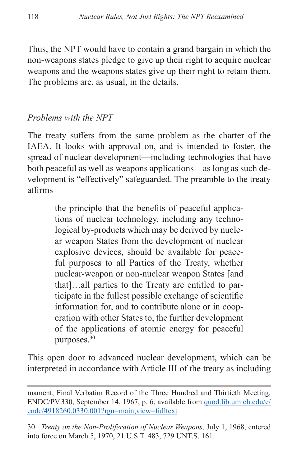Thus, the NPT would have to contain a grand bargain in which the non-weapons states pledge to give up their right to acquire nuclear weapons and the weapons states give up their right to retain them. The problems are, as usual, in the details.

#### *Problems with the NPT*

The treaty suffers from the same problem as the charter of the IAEA. It looks with approval on, and is intended to foster, the spread of nuclear development—including technologies that have both peaceful as well as weapons applications—as long as such development is "effectively" safeguarded. The preamble to the treaty affirms

> the principle that the benefits of peaceful applications of nuclear technology, including any technological by-products which may be derived by nuclear weapon States from the development of nuclear explosive devices, should be available for peaceful purposes to all Parties of the Treaty, whether nuclear-weapon or non-nuclear weapon States [and that]…all parties to the Treaty are entitled to participate in the fullest possible exchange of scientific information for, and to contribute alone or in cooperation with other States to, the further development of the applications of atomic energy for peaceful purposes.30

This open door to advanced nuclear development, which can be interpreted in accordance with Article III of the treaty as including

30. *Treaty on the Non-Proliferation of Nuclear Weapons*, July 1, 1968, entered into force on March 5, 1970, 21 U.S.T. 483, 729 UNT.S. 161.

mament, Final Verbatim Record of the Three Hundred and Thirtieth Meeting, ENDC/PV.330, September 14, 1967, p. 6, available from [quod.lib.umich.edu/e/](quod.lib.umich.edu/e/endc/4918260.0330.001?rgn=main;view=fulltext) [endc/4918260.0330.001?rgn=main;view=fulltext](quod.lib.umich.edu/e/endc/4918260.0330.001?rgn=main;view=fulltext)*.*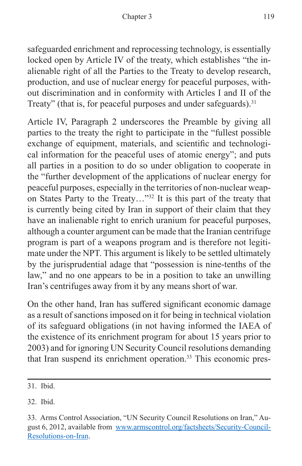safeguarded enrichment and reprocessing technology, is essentially locked open by Article IV of the treaty, which establishes "the inalienable right of all the Parties to the Treaty to develop research, production, and use of nuclear energy for peaceful purposes, without discrimination and in conformity with Articles I and II of the Treaty" (that is, for peaceful purposes and under safeguards).<sup>31</sup>

Article IV, Paragraph 2 underscores the Preamble by giving all parties to the treaty the right to participate in the "fullest possible exchange of equipment, materials, and scientific and technological information for the peaceful uses of atomic energy"; and puts all parties in a position to do so under obligation to cooperate in the "further development of the applications of nuclear energy for peaceful purposes, especially in the territories of non-nuclear weapon States Party to the Treaty…"32 It is this part of the treaty that is currently being cited by Iran in support of their claim that they have an inalienable right to enrich uranium for peaceful purposes, although a counter argument can be made that the Iranian centrifuge program is part of a weapons program and is therefore not legitimate under the NPT. This argument is likely to be settled ultimately by the jurisprudential adage that "possession is nine-tenths of the law," and no one appears to be in a position to take an unwilling Iran's centrifuges away from it by any means short of war.

On the other hand, Iran has suffered significant economic damage as a result of sanctions imposed on it for being in technical violation of its safeguard obligations (in not having informed the IAEA of the existence of its enrichment program for about 15 years prior to 2003) and for ignoring UN Security Council resolutions demanding that Iran suspend its enrichment operation.33 This economic pres-

<sup>31.</sup> Ibid.

<sup>32.</sup> Ibid.

<sup>33.</sup> Arms Control Association, "UN Security Council Resolutions on Iran," August 6, 2012, available from [www.armscontrol.org/factsheets/Security-Council-](www.armscontrol.org/factsheets/Security-Council-Resolutions-on-Iran)[Resolutions-on-Iran.](www.armscontrol.org/factsheets/Security-Council-Resolutions-on-Iran)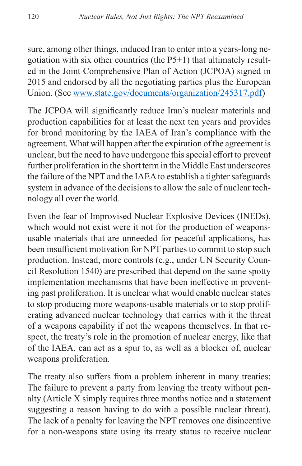sure, among other things, induced Iran to enter into a years-long negotiation with six other countries (the P5+1) that ultimately resulted in the Joint Comprehensive Plan of Action (JCPOA) signed in 2015 and endorsed by all the negotiating parties plus the European Union. (See [www.state.gov/documents/organization/245317.pdf\)](www.state.gov/documents/organization/245317.pdf)

The JCPOA will significantly reduce Iran's nuclear materials and production capabilities for at least the next ten years and provides for broad monitoring by the IAEA of Iran's compliance with the agreement. What will happen after the expiration of the agreement is unclear, but the need to have undergone this special effort to prevent further proliferation in the short term in the Middle East underscores the failure of the NPT and the IAEA to establish a tighter safeguards system in advance of the decisions to allow the sale of nuclear technology all over the world.

Even the fear of Improvised Nuclear Explosive Devices (INEDs), which would not exist were it not for the production of weaponsusable materials that are unneeded for peaceful applications, has been insufficient motivation for NPT parties to commit to stop such production. Instead, more controls (e.g., under UN Security Council Resolution 1540) are prescribed that depend on the same spotty implementation mechanisms that have been ineffective in preventing past proliferation. It is unclear what would enable nuclear states to stop producing more weapons-usable materials or to stop proliferating advanced nuclear technology that carries with it the threat of a weapons capability if not the weapons themselves. In that respect, the treaty's role in the promotion of nuclear energy, like that of the IAEA, can act as a spur to, as well as a blocker of, nuclear weapons proliferation.

The treaty also suffers from a problem inherent in many treaties: The failure to prevent a party from leaving the treaty without penalty (Article X simply requires three months notice and a statement suggesting a reason having to do with a possible nuclear threat). The lack of a penalty for leaving the NPT removes one disincentive for a non-weapons state using its treaty status to receive nuclear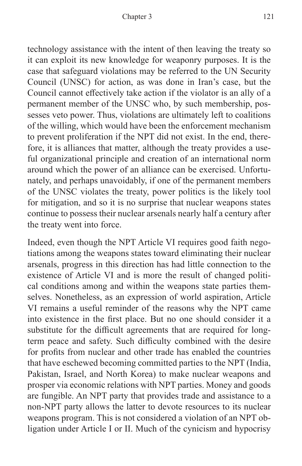technology assistance with the intent of then leaving the treaty so it can exploit its new knowledge for weaponry purposes. It is the case that safeguard violations may be referred to the UN Security Council (UNSC) for action, as was done in Iran's case, but the Council cannot effectively take action if the violator is an ally of a permanent member of the UNSC who, by such membership, possesses veto power. Thus, violations are ultimately left to coalitions of the willing, which would have been the enforcement mechanism to prevent proliferation if the NPT did not exist. In the end, therefore, it is alliances that matter, although the treaty provides a useful organizational principle and creation of an international norm around which the power of an alliance can be exercised. Unfortunately, and perhaps unavoidably, if one of the permanent members of the UNSC violates the treaty, power politics is the likely tool for mitigation, and so it is no surprise that nuclear weapons states continue to possess their nuclear arsenals nearly half a century after the treaty went into force.

Indeed, even though the NPT Article VI requires good faith negotiations among the weapons states toward eliminating their nuclear arsenals, progress in this direction has had little connection to the existence of Article VI and is more the result of changed political conditions among and within the weapons state parties themselves. Nonetheless, as an expression of world aspiration, Article VI remains a useful reminder of the reasons why the NPT came into existence in the first place. But no one should consider it a substitute for the difficult agreements that are required for longterm peace and safety. Such difficulty combined with the desire for profits from nuclear and other trade has enabled the countries that have eschewed becoming committed parties to the NPT (India, Pakistan, Israel, and North Korea) to make nuclear weapons and prosper via economic relations with NPT parties. Money and goods are fungible. An NPT party that provides trade and assistance to a non-NPT party allows the latter to devote resources to its nuclear weapons program. This is not considered a violation of an NPT obligation under Article I or II. Much of the cynicism and hypocrisy